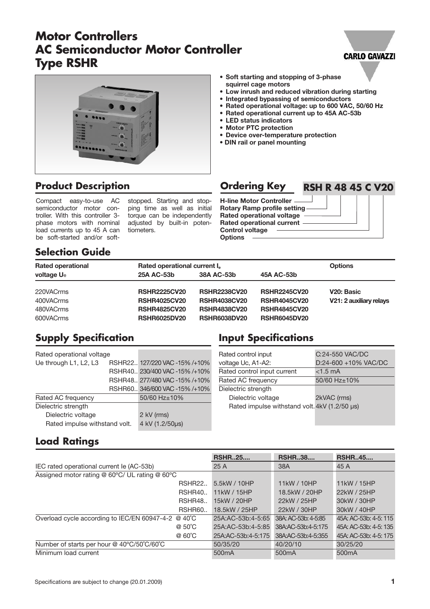# **Motor Controllers AC Semiconductor Motor Controller Type RSHR**

## **• Soft starting and stopping of 3-phase squirrel cage motors**

- **• Low inrush and reduced vibration during starting**
- **• Integrated bypassing of semiconductors**
- **• Rated operational voltage: up to 600 VAC, 50/60 Hz**
- **• Rated operational current up to 45A AC-53b**
- **• LED status indicators**
- **• Motor PTC protection**

**Ordering Key**

- **• Device over-temperature protection**
- **• DIN rail or panel mounting**

# **Product Description**

Compact easy-to-use AC semiconductor motor controller. With this controller 3 phase motors with nominal load currents up to 45 A can be soft-started and/or softstopped. Starting and stopping time as well as initial torque can be independently adjusted by built-in potentiometers.

| <b>H-line Motor Controller -</b>   |
|------------------------------------|
| <b>Rotary Ramp profile setting</b> |
| Rated operational voltage          |
| <b>Rated operational current</b>   |
| <b>Control voltage</b>             |
| <b>Options</b>                     |
|                                    |

# **Selection Guide**

| <b>Rated operational</b> | Rated operational current I. | <b>Options</b>      |                     |                         |
|--------------------------|------------------------------|---------------------|---------------------|-------------------------|
| voltage Ue               | 25A AC-53b                   | 38A AC-53b          | 45A AC-53b          |                         |
|                          |                              |                     |                     |                         |
| 220VACrms                | <b>RSHR2225CV20</b>          | <b>RSHR2238CV20</b> | <b>RSHR2245CV20</b> | V <sub>20</sub> : Basic |
| 400VACrms                | <b>RSHR4025CV20</b>          | <b>RSHR4038CV20</b> | <b>RSHR4045CV20</b> | V21: 2 auxiliary relays |
| 480VACrms                | <b>RSHR4825CV20</b>          | <b>RSHR4838CV20</b> | <b>RSHR4845CV20</b> |                         |
| 600VACrms                | <b>RSHR6025DV20</b>          | <b>RSHR6038DV20</b> | <b>RSHR6045DV20</b> |                         |

# **Supply Specification**

| Rated operational voltage                        |                               |  |  |
|--------------------------------------------------|-------------------------------|--|--|
|                                                  | RSHR22 127/220 VAC -15% /+10% |  |  |
|                                                  | RSHR40 230/400 VAC -15% /+10% |  |  |
|                                                  | RSHR48 277/480 VAC-15% /+10%  |  |  |
|                                                  | RSHR60 346/600 VAC -15% /+10% |  |  |
|                                                  | 50/60 Hz±10%                  |  |  |
|                                                  |                               |  |  |
| Dielectric voltage                               |                               |  |  |
| 4 kV (1.2/50us)<br>Rated impulse withstand volt. |                               |  |  |
|                                                  |                               |  |  |

# **Input Specifications**

| Rated control input                           | C:24-550 VAC/DC      |
|-----------------------------------------------|----------------------|
| voltage Uc, A1-A2:                            | D:24-600 +10% VAC/DC |
| Rated control input current                   | $<$ 1.5 mA           |
| Rated AC frequency                            | 50/60 Hz±10%         |
| Dielectric strength                           |                      |
| Dielectric voltage                            | 2kVAC (rms)          |
| Rated impulse withstand volt. 4kV (1.2/50 µs) |                      |
|                                               |                      |

# **Load Ratings**

|                                                        | <b>RSHR25</b>      | <b>RSHR38</b>       | <b>RSHR45</b>         |
|--------------------------------------------------------|--------------------|---------------------|-----------------------|
| IEC rated operational current le (AC-53b)              | 25A                | 38A                 | 45 A                  |
| Assigned motor rating @ 60°C/ UL rating @ 60°C         |                    |                     |                       |
| <b>RSHR22</b>                                          | 5.5kW / 10HP       | 11kW / 10HP         | 11kW / 15HP           |
| RSHR40                                                 | 11kW / 15HP        | 18.5kW / 20HP       | 22kW / 25HP           |
| RSHR48                                                 | 15kW / 20HP        | 22kW / 25HP         | 30kW / 30HP           |
| RSHR <sub>60</sub> .                                   | 18.5kW / 25HP      | 22kW / 30HP         | 30kW / 40HP           |
| Overload cycle according to IEC/EN 60947-4-2<br>@ 40°C | 25A:AC-53b:4-5:65  | 38A: AC-53b: 4-5:85 | 45A: AC-53b: 4-5: 115 |
| @ 50°C                                                 | 25A:AC-53b:4-5:85  | 38A:AC-53b:4-5:175  | 45A: AC-53b: 4-5: 135 |
| @ 60°C                                                 | 25A:AC-53b:4-5:175 | 38A:AC-53b:4-5:355  | 45A: AC-53b: 4-5: 175 |
| Number of starts per hour @ 40°C/50°C/60°C             | 50/35/20           | 40/20/10            | 30/25/20              |
| Minimum load current                                   | 500 <sub>m</sub> A | 500 <sub>m</sub> A  | 500 <sub>m</sub> A    |

## **CARLO GAVAZZI**

**RSH R 48 45 C V20**

 $\overline{\phantom{a}}$  $\overline{\phantom{a}}$ 

 $\top$  $\top$ 

T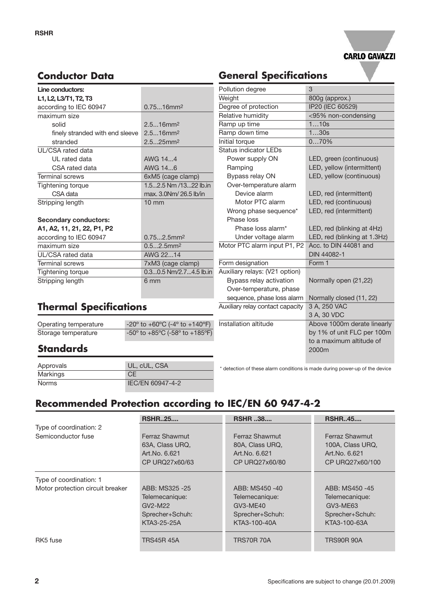

# **Conductor Data**

| Line conductors:                |                           |
|---------------------------------|---------------------------|
| L1, L2, L3/T1, T2, T3           |                           |
| according to IEC 60947          | $0.7516$ mm <sup>2</sup>  |
| maximum size                    |                           |
| solid                           | $2.516$ mm <sup>2</sup>   |
| finely stranded with end sleeve | 2.516mm2                  |
| stranded                        | 2.525mm <sup>2</sup>      |
| UI /CSA rated data              |                           |
| UI rated data                   | AWG 14.4                  |
| CSA rated data                  | AWG 146                   |
| <b>Terminal screws</b>          | 6xM5 (cage clamp)         |
| <b>Tightening torque</b>        | 1.52.5 Nm /1322 lb.in     |
| CSA data                        | max. 3.0Nm/26.5 lb/in     |
| Stripping length                | $10 \text{ mm}$           |
| <b>Secondary conductors:</b>    |                           |
| A1, A2, 11, 21, 22, P1, P2      |                           |
| according to IEC 60947          | $0.752.5$ mm <sup>2</sup> |
| maximum size                    | $0.52.5$ mm <sup>2</sup>  |
| UL/CSA rated data               | AWG 2214                  |
| <b>Terminal screws</b>          | 7xM3 (cage clamp)         |
| <b>Tightening torque</b>        | 0.30.5 Nm/2.74.5 lb.in    |
| Stripping length                | 6 mm                      |

## Pollution degree 3 Weight 800g (approx.) Degree of protection IP20 (IEC 60529) Relative humidity <95% non-condensing Ramp up time 1...10s Ramp down time 1...30s Initial torque 0...70% Status indicator LEDs Power supply ON LED, green (continuous) Ramping LED, yellow (intermittent) Bypass relay ON LED, yellow (continuous) Over-temperature alarm Device alarm LED, red (intermittent) Motor PTC alarm LED, red (continuous) Wrong phase sequence<sup>\*</sup> LED, red (intermittent) Phase loss Phase loss alarm\* LED, red (blinking at 4Hz) Under voltage alarm LED, red (blinking at 1.3Hz) Motor PTC alarm input P1, P2 Acc. to DIN 44081 and DIN 44082-1 Form designation Form 1 Auxiliary relays: (V21 option) Bypass relay activation Normally open (21,22) Over-temperature, phase sequence, phase loss alarm Normally closed (11, 22) Auxiliary relay contact capacity 3 A, 250 VAC 3 A, 30 VDC Installation altitude Above 1000m derate linearly by 1% of unit FLC per 100m to a maximum altitude of 2000m

**General Specifications**

# **Standards**

**Thermal Specifications**

| Approvals | UL, cUL, CSA     |
|-----------|------------------|
| Markings  | СE               |
| Norms     | IEC/EN 60947-4-2 |

Operating temperature -20º to +60ºC (-4º to +140ºF) Storage temperature -50<sup>°</sup> to +85<sup>°</sup>C (-58<sup>°</sup> to +185<sup>°</sup>F)

## \* detection of these alarm conditions is made during power-up of the device

# **Recommended Protection according to IEC/EN 60 947-4-2**

|                                  | <b>RSHR25</b>   | <b>RSHR 38</b>    | <b>RSHR45</b>    |
|----------------------------------|-----------------|-------------------|------------------|
| Type of coordination: 2          |                 |                   |                  |
| Semiconductor fuse               | Ferraz Shawmut  | Ferraz Shawmut    | Ferraz Shawmut   |
|                                  | 63A, Class URQ, | 80A, Class URQ,   | 100A, Class URQ, |
|                                  | Art. No. 6.621  | Art. No. 6.621    | Art. No. 6.621   |
|                                  | CP URQ27x60/63  | CP URQ27x60/80    | CP URQ27x60/100  |
| Type of coordination: 1          |                 |                   |                  |
| Motor protection circuit breaker | ABB: MS325 -25  | ABB: MS450 -40    | ABB: MS450 -45   |
|                                  | Telemecanique:  | Telemecanique:    | Telemecanique:   |
|                                  | $GV2-M22$       | $GV3-MF40$        | GV3-ME63         |
|                                  | Sprecher+Schuh: | Sprecher+Schuh:   | Sprecher+Schuh:  |
|                                  | KTA3-25-25A     | KTA3-100-40A      | KTA3-100-63A     |
| RK <sub>5</sub> fuse             | TRS45R 45A      | <b>TRS70R 70A</b> | TRS90R 90A       |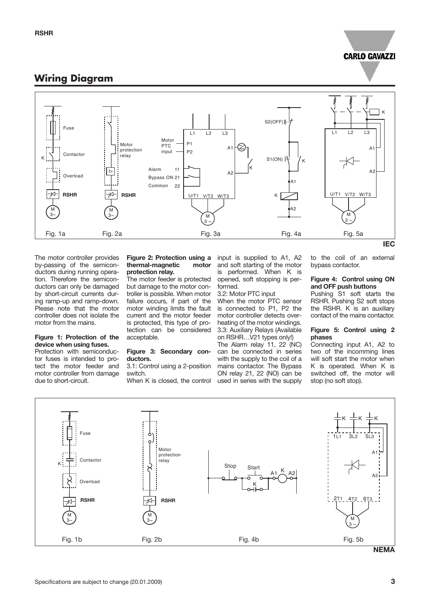## **CARLO GAVAZZI**

## **Wiring Diagram**



The motor controller provides by-passing of the semiconductors during running operation. Therefore the semiconductors can only be damaged by short-circuit currents during ramp-up and ramp-down. Please note that the motor controller does not isolate the motor from the mains.

## **Figure 1: Protection of the device when using fuses.**

Protection with semiconductor fuses is intended to protect the motor feeder and motor controller from damage due to short-circuit.

## **Figure 2: Protection using a thermal-magnetic motor protection relay.**

The motor feeder is protected but damage to the motor controller is possible. When motor failure occurs, if part of the motor winding limits the fault current and the motor feeder is protected, this type of protection can be considered acceptable.

## **Figure 3: Secondary conductors.**

3.1: Control using a 2-position switch.

When K is closed, the control

input is supplied to A1, A2 and soft starting of the motor is performed. When K is opened, soft stopping is performed.

## 3.2: Motor PTC input

When the motor PTC sensor is connected to P1, P2 the motor controller detects overheating of the motor windings. 3.3: Auxiliary Relays (Available on RSHR…V21 types only!)

The Alarm relay 11, 22 (NC) can be connected in series with the supply to the coil of a mains contactor. The Bypass ON relay 21, 22 (NO) can be used in series with the supply

to the coil of an external bypass contactor.

## **Figure 4: Control using ON and OFF push buttons**

Pushing S1 soft starts the RSHR. Pushing S2 soft stops the RSHR. K is an auxiliary contact of the mains contactor.

## **Figure 5: Control using 2 phases**

Connecting input A1, A2 to two of the incomming lines will soft start the motor when K is operated. When K is switched off, the motor will stop (no soft stop).

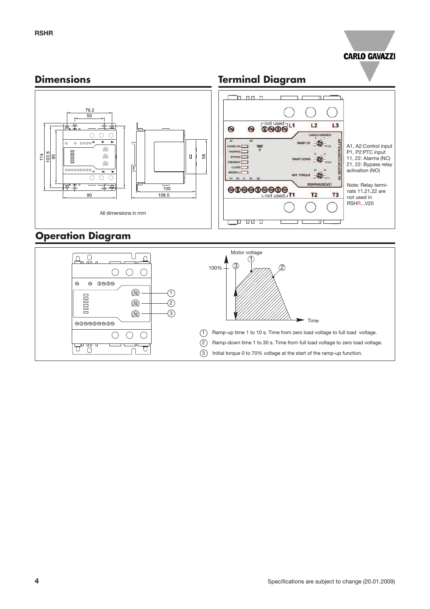

# **Dimensions**

# **Terminal Diagram**